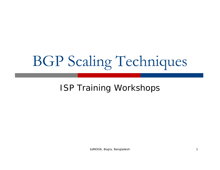#### ISP Training Workshops

bdNOG6, Bogra, Bangladesh 1988 and 1989 and 1989 and 1989 and 1989 and 1989 and 1989 and 1989 and 1989 and 198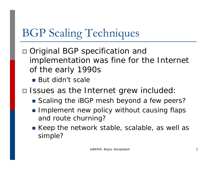- Original BGP specification and implementation was fine for the Internet of the early 1990s
	- But didn't scale
- **□ Issues as the Internet grew included:** 
	- Scaling the iBGP mesh beyond a few peers?
	- F. Implement new policy without causing flaps and route churning?
	- Keep the network stable, scalable, as well as simple?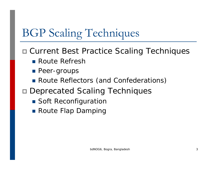Current Best Practice Scaling Techniques

- Route Refresh
- **Peer-groups**
- **Route Reflectors (and Confederations)**
- Deprecated Scaling Techniques
	- Soft Reconfiguration
	- **Route Flap Damping**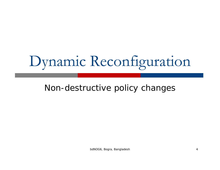# Dynamic Reconfiguration

#### Non-destructive policy changes

bdNOG6, Bogra, Bangladesh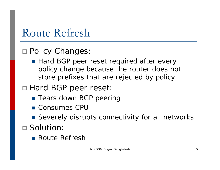### Route Refresh

#### Policy Changes:

- Hard BGP peer reset required after every policy change because the router does not store prefixes that are rejected by policy
- Hard BGP peer reset:
	- **Tears down BGP peering**
	- Consumes CPU
	- Severely disrupts connectivity for all networks

#### □ Solution:

**Route Refresh**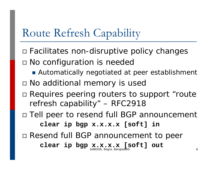### Route Refresh Capability

- Facilitates non-disruptive policy changes
- No configuration is needed
	- Automatically negotiated at peer establishment
- No additional memory is used
- Requires peering routers to support "route refresh capability" – RFC2918
- Tell peer to resend full BGP announcement **clear ip bgp x.x.x.x [soft] in**

bdNOG6, Bogra, Bangladesh

 Resend full BGP announcement to peer **clear ip bgp x.x.x.x [soft] out**

6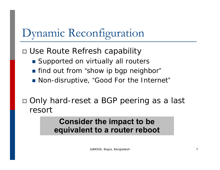# Dynamic Reconfiguration

Use Route Refresh capability

- Supported on virtually all routers
- find out from "show ip bgp neighbor"
- Non-disruptive, "Good For the Internet "
- Only hard-reset a BGP peering as a last resort

#### **Consider the impact to be equivalent to a router reboot**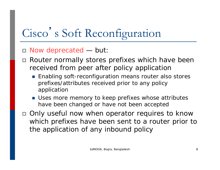# Cisco's Soft Reconfiguration

#### Now deprecated — but:

- Router normally stores prefixes which have been received from peer after policy application
	- **Enabling soft-reconfiguration means router also stores** prefixes/attributes received prior to any policy application
	- **Uses more memory to keep prefixes whose attributes** have been changed or have not been accepted
- Only useful now when operator requires to know which prefixes have been sent to a router prior to the application of any inbound policy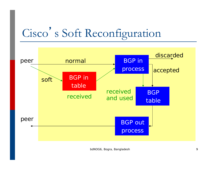# Cisco's Soft Reconfiguration

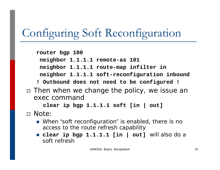# Configuring Soft Reconfiguration

```
router bgp 100
   neighbor 1.1.1.1 remote-as 101
   neighbor 1.1.1.1 route-map infilter in
   neighbor 1.1.1.1 soft-reconfiguration inbound
   ! Outbound does not need to be configured !
□ Then when we change the policy, we issue an
  exec commandclear ip bgp 1.1.1.1 soft [in | out]
 Note:
   ■ When "soft reconfiguration" is enabled, there is no
```
access to the route refresh capability **clear ip bgp 1.1.1.1 [in | out]** will also do a soft refresh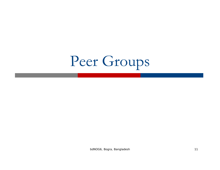# Peer Groups

bdNOG6, Bogra, Bangladesh 11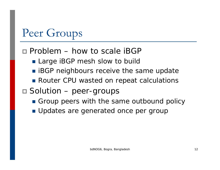## Peer Groups

#### Problem – how to scale iBGP

- **Large iBGP mesh slow to build**
- **BGP** neighbours receive the same update
- Router CPU wasted on repeat calculations
- Solution peer-groups
	- **Group peers with the same outbound policy**
	- **Updates are generated once per group**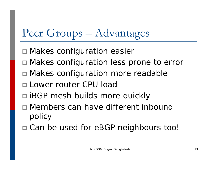# Peer Groups – Advantages

- Makes configuration easier
- Makes configuration less prone to error
- Makes configuration more readable
- Lower router CPU load
- iBGP mesh builds more quickly
- Members can have different inbound policy
- □ Can be used for eBGP neighbours too!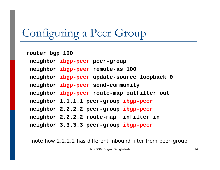### Configuring a Peer Group

**router bgp 100 neighbor ibgp-peer peer-group neighbor ibgp-peer remote-as 100 neighbor ibgp-peer update-source loopback 0 neighbor ibgp-peer send-community neighbor ibgp-peer route-map outfilter out neighbor 1.1.1.1 peer-group ibgp-peer neighbor 2.2.2.2 peer-group ibgp-peer neighbor 2.2.2.2 route-map infilter in neighbor 3.3.3.3 peer-group ibgp-peer**

! note how 2.2.2.2 has different inbound filter from peer-group !

bdNOG6, Bogra, Bangladesh 14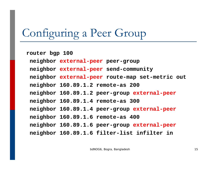### Configuring a Peer Group

**router bgp 100 neighbor external-peer peer-group neighbor external-peer send-community neighbor external-peer route-map set-metric out neighbor 160.89.1.2 remote-as 200 neighbor 160.89.1.2 peer-group external-peer neighbor 160.89.1.4 remote-as 300 neighbor 160.89.1.4 peer-group external-peer neighbor 160.89.1.6 remote-as 400 neighbor 160.89.1.6 peer-group external-peer neighbor 160.89.1.6 filter-list infilter in**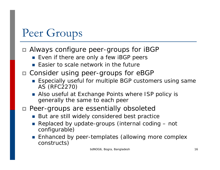# Peer Groups

#### Always configure peer-groups for iBGP

- **E** Even if there are only a few iBGP peers
- **Easier to scale network in the future**
- Consider using peer-groups for eBGP
	- **E** Especially useful for multiple BGP customers using same AS (RFC2270)
	- Also useful at Exchange Points where ISP policy is generally the same to each peer
- Peer-groups are essentially obsoleted
	- But are still widely considered best practice
	- P) Replaced by update-groups (internal coding – not configurable)
	- **Enhanced by peer-templates (allowing more complex** constructs)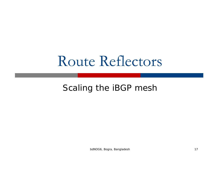# Route Reflectors

#### Scaling the iBGP mesh

bdNOG6, Bogra, Bangladesh 17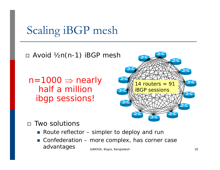# Scaling iBGP mesh

Avoid ½n(n-1) iBGP mesh

 ${\sf n}{=}\,1000 \Rightarrow$  <code>nearly</code> half a millionibgp sessions!



#### □ Two solutions

- Route reflector simpler to deploy and run
- Confederation more complex, has corner case advantages bdNOG6, Bogra, Bangladesh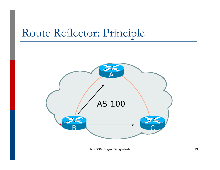### Route Reflector: Principle



bdNOG6, Bogra, Bangladesh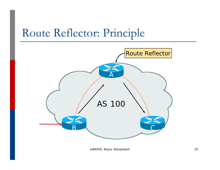### Route Reflector: Principle



bdNOG6, Bogra, Bangladesh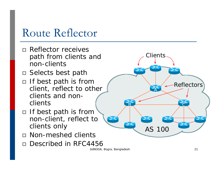### Route Reflector

- □ Reflector receives path from clients and non-clients
- □ Selects best path
- □ If best path is from client, reflect to other clients and nonclients
- □ If best path is from non-client, reflect to clients only
- Non-meshed clients
- □ Described in RFC4456

bdNOG6, Bogra, Bangladesh

≋≋

Reflectors

≋≋

AS 100

A

Clients

 $\mathsf B$   $\overline{\phantom{a}}$   $\overline{\phantom{a}}$   $\overline{\phantom{a}}$   $\overline{\phantom{a}}$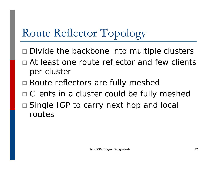# Route Reflector Topology

- Divide the backbone into multiple clusters
- At least one route reflector and few clients per cluster
- Route reflectors are fully meshed
- Clients in a cluster could be fully meshed
- Single IGP to carry next hop and local routes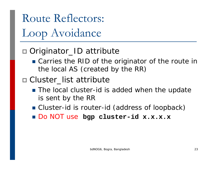# Route Reflectors: Loop Avoidance

#### □ Originator\_ID attribute

- Carries the RID of the originator of the route in the local AS (created by the RR)
- Cluster\_list attribute
	- The local cluster-id is added when the update is sent by the RR
	- **Cluster-id is router-id (address of loopback)**
	- Do NOT use **bgp cluster-id x.x.x.x**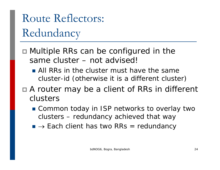# Route Reflectors: Redundancy

- Multiple RRs can be configured in the same cluster – not advised!
	- **All RRs in the cluster must have the same** cluster-id (otherwise it is a different cluster)
- A router may be a client of RRs in different clusters
	- Common today in ISP networks to overlay two clusters – redundancy achieved that way
	- $\blacksquare\to$  Each client has two RRs = redundancy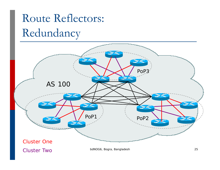# Route Reflectors: Redundancy

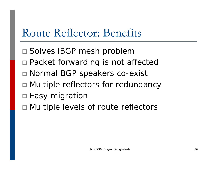### Route Reflector: Benefits

- Solves iBGP mesh problem
- Packet forwarding is not affected
- Normal BGP speakers co-exist
- Multiple reflectors for redundancy
- □ Easy migration
- Multiple levels of route reflectors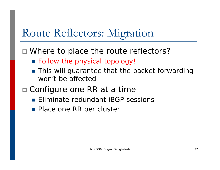## Route Reflectors: Migration

#### ■ Where to place the route reflectors?

- Follow the physical topology!
- This will guarantee that the packet forwarding won't be affected
- Configure one RR at a time
	- **Eliminate redundant iBGP sessions**
	- **Place one RR per cluster**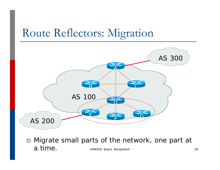### Route Reflectors: Migration



 Migrate small parts of the network, one part at a time.28 bdNOG6, Bogra, Bangladesh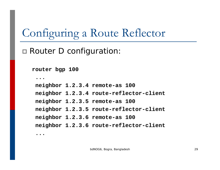### Configuring a Route Reflector

□ Router D configuration:

```
router bgp 100
 ...neighbor 1.2.3.4 remote-as 100
 neighbor 1.2.3.4 route-reflector-client
 neighbor 1.2.3.5 remote-as 100
 neighbor 1.2.3.5 route-reflector-client
 neighbor 1.2.3.6 remote-as 100
 neighbor 1.2.3.6 route-reflector-client
```
**...**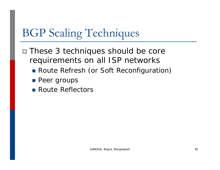- □ These 3 techniques should be core requirements on all ISP networks
	- **Route Refresh (or Soft Reconfiguration)**
	- **Peer groups**
	- Route Reflectors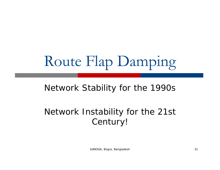# Route Flap Damping

#### Network Stability for the 1990s

#### Network Instability for the 21st Century!

bdNOG6, Bogra, Bangladesh 31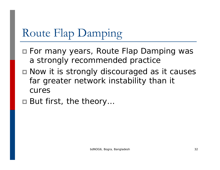# Route Flap Damping

- For many years, Route Flap Damping was a strongly recommended practice
- □ Now it is strongly discouraged as it causes far greater network instability than it cures
- But first, the theory…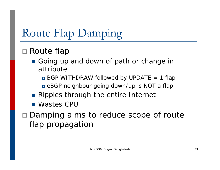# Route Flap Damping

#### □ Route flap

- Going up and down of path or change in attribute
	- BGP WITHDRAW followed by UPDATE = 1 flap eBGP neighbour going down/up is NOT a flap
- **Ripples through the entire Internet**
- Wastes CPU
- Damping aims to reduce scope of route flap propagation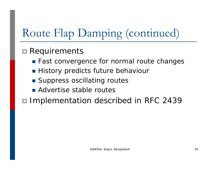# Route Flap Damping (continued)

#### □ Requirements

- **East convergence for normal route changes**
- **History predicts future behaviour**
- **Suppress oscillating routes**
- **Advertise stable routes**

■ Implementation described in RFC 2439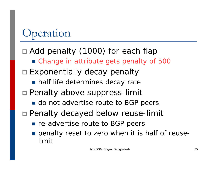# peration

#### Add penalty (1000) for each flap

- Change in attribute gets penalty of 500
- Exponentially decay penalty
	- **half life determines decay rate**
- Penalty above suppress-limit
	- **do not advertise route to BGP peers**
- Penalty decayed below reuse-limit
	- **re-advertise route to BGP peers**
	- F. penalty reset to zero when it is half of reuselimit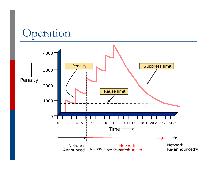### Operation

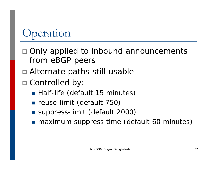# Operation

- Only applied to inbound announcements from eBGP peers
- Alternate paths still usable
- Controlled by:
	- **Half-life (default 15 minutes)**
	- **reuse-limit (default 750)**
	- **Suppress-limit (default 2000)**
	- **naximum suppress time (default 60 minutes)**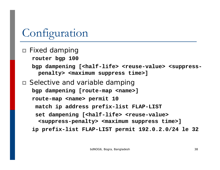# Configuration

#### Fixed damping **router bgp 100** bgp dampening [<half-life> <reuse-value> <suppress**penalty> <maximum suppress time>]** ■ Selective and variable damping **bgp dampening [route-map <name>] route-map <name> permit 10 match ip address prefix-list FLAP-LIST** set dampening [<half-life> <reuse-value> **<suppress-penalty> <maximum suppress time>] ip prefix-list FLAP-LIST permit 192.0.2.0/24 le 32**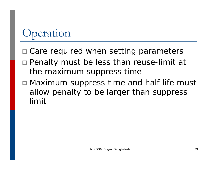# Operation

- Care required when setting parameters
- Penalty must be less than reuse-limit at the maximum suppress time
- Maximum suppress time and half life must allow penalty to be larger than suppress limit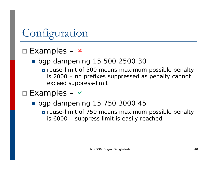# Configuration

#### $\square$  Examples –  $\star$

■ bgp dampening 15 500 2500 30

 reuse-limit of 500 means maximum possible penalty is 2000 – no prefixes suppressed as penalty cannot exceed suppress-limit

#### $\square$  Examples –  $\checkmark$

■ bgp dampening 15 750 3000 45

 reuse-limit of 750 means maximum possible penalty is 6000 – suppress limit is easily reached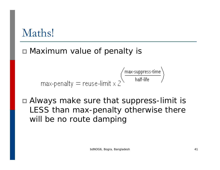### Maths!

Maximum value of penalty is

$$
\sqrt{\frac{\text{max-suppress-time}}{\text{half-life}}}
$$

 Always make sure that suppress-limit is LESS than max-penalty otherwise there will be no route damping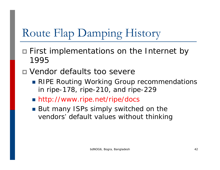# Route Flap Damping History

 First implementations on the Internet by 1995

#### Vendor defaults too severe

- **RIPE Routing Working Group recommendations** in ripe-178, ripe-210, and ripe-229
- http://www.ripe.net/ripe/docs
- But many ISPs simply switched on the vendors' default values without thinking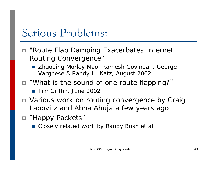### Serious Problems:

- "Route Flap Damping Exacerbates Internet Routing Convergence"
	- Zhuoqing Morley Mao, Ramesh Govindan, George Varghese & Randy H. Katz, August 2002
- "What is the sound of one route flapping?"
	- Tim Griffin, June 2002
- Various work on routing convergence by Craig Labovitz and Abha Ahuja a few years ago
- "Happy Packets "
	- Closely related work by Randy Bush et al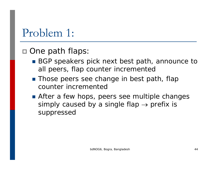### Problem 1:

#### □ One path flaps:

- BGP speakers pick next best path, announce to all peers, flap counter incremented
- **Those peers see change in best path, flap** counter incremented
- **After a few hops, peers see multiple changes** simply caused by a single flap  $\rightarrow$  prefix is suppressed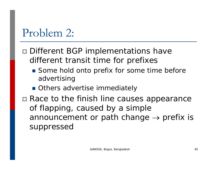### Problem 2:

- □ Different BGP implementations have different transit time for prefixes
	- Some hold onto prefix for some time before advertising
	- **Others advertise immediately**
- **□** Race to the finish line causes appearance of flapping, caused by a simple announcement or path change  $\rightarrow$  prefix is suppressed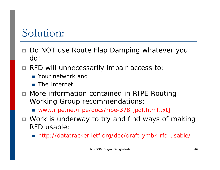### Solution:

- Do NOT use Route Flap Damping whatever you do!
- RFD will unnecessarily impair access to:
	- **Nour network and**
	- **n** The Internet
- More information contained in RIPE Routing Working Group recommendations:
	- www.ripe.net/ripe/docs/ripe-378.[pdf,html,txt]
- Work is underway to try and find ways of making RFD usable:
	- http://datatracker.ietf.org/doc/draft-ymbk-rfd-usable/